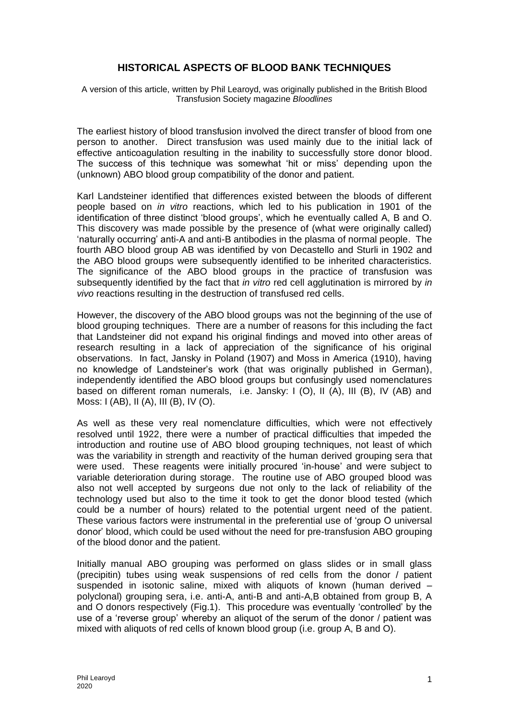## **HISTORICAL ASPECTS OF BLOOD BANK TECHNIQUES**

A version of this article, written by Phil Learoyd, was originally published in the British Blood Transfusion Society magazine *Bloodlines*

The earliest history of blood transfusion involved the direct transfer of blood from one person to another. Direct transfusion was used mainly due to the initial lack of effective anticoagulation resulting in the inability to successfully store donor blood. The success of this technique was somewhat 'hit or miss' depending upon the (unknown) ABO blood group compatibility of the donor and patient.

Karl Landsteiner identified that differences existed between the bloods of different people based on *in vitro* reactions, which led to his publication in 1901 of the identification of three distinct 'blood groups', which he eventually called A, B and O. This discovery was made possible by the presence of (what were originally called) 'naturally occurring' anti-A and anti-B antibodies in the plasma of normal people. The fourth ABO blood group AB was identified by von Decastello and Sturli in 1902 and the ABO blood groups were subsequently identified to be inherited characteristics. The significance of the ABO blood groups in the practice of transfusion was subsequently identified by the fact that *in vitro* red cell agglutination is mirrored by *in vivo* reactions resulting in the destruction of transfused red cells.

However, the discovery of the ABO blood groups was not the beginning of the use of blood grouping techniques. There are a number of reasons for this including the fact that Landsteiner did not expand his original findings and moved into other areas of research resulting in a lack of appreciation of the significance of his original observations. In fact, Jansky in Poland (1907) and Moss in America (1910), having no knowledge of Landsteiner's work (that was originally published in German), independently identified the ABO blood groups but confusingly used nomenclatures based on different roman numerals, i.e. Jansky: I (O), II (A), III (B), IV (AB) and Moss: I (AB), II (A), III (B), IV (O).

As well as these very real nomenclature difficulties, which were not effectively resolved until 1922, there were a number of practical difficulties that impeded the introduction and routine use of ABO blood grouping techniques, not least of which was the variability in strength and reactivity of the human derived grouping sera that were used. These reagents were initially procured 'in-house' and were subject to variable deterioration during storage. The routine use of ABO grouped blood was also not well accepted by surgeons due not only to the lack of reliability of the technology used but also to the time it took to get the donor blood tested (which could be a number of hours) related to the potential urgent need of the patient. These various factors were instrumental in the preferential use of 'group O universal donor' blood, which could be used without the need for pre-transfusion ABO grouping of the blood donor and the patient.

Initially manual ABO grouping was performed on glass slides or in small glass (precipitin) tubes using weak suspensions of red cells from the donor / patient suspended in isotonic saline, mixed with aliquots of known (human derived – polyclonal) grouping sera, i.e. anti-A, anti-B and anti-A,B obtained from group B, A and O donors respectively (Fig.1). This procedure was eventually 'controlled' by the use of a 'reverse group' whereby an aliquot of the serum of the donor / patient was mixed with aliquots of red cells of known blood group (i.e. group A, B and O).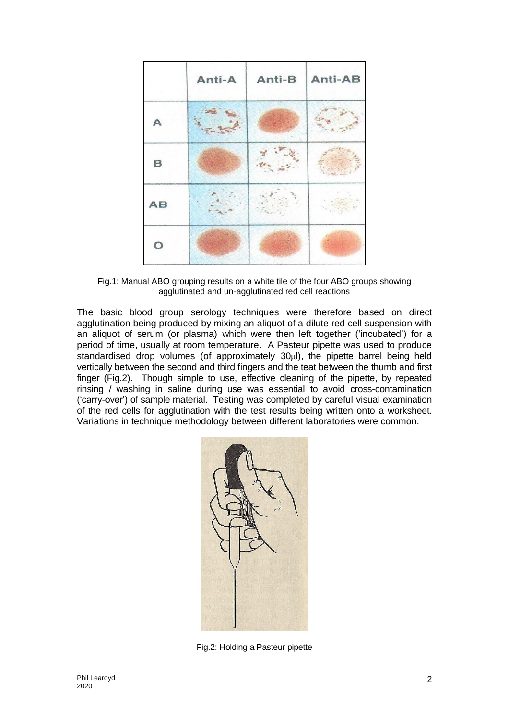|             | Anti-A | Anti-B | Anti-AB |
|-------------|--------|--------|---------|
|             |        |        |         |
| $\mathbf B$ |        |        |         |
| AB          |        |        |         |
| O           |        |        |         |

Fig.1: Manual ABO grouping results on a white tile of the four ABO groups showing agglutinated and un-agglutinated red cell reactions

The basic blood group serology techniques were therefore based on direct agglutination being produced by mixing an aliquot of a dilute red cell suspension with an aliquot of serum (or plasma) which were then left together ('incubated') for a period of time, usually at room temperature. A Pasteur pipette was used to produce standardised drop volumes (of approximately 30ul), the pipette barrel being held vertically between the second and third fingers and the teat between the thumb and first finger (Fig.2). Though simple to use, effective cleaning of the pipette, by repeated rinsing / washing in saline during use was essential to avoid cross-contamination ('carry-over') of sample material. Testing was completed by careful visual examination of the red cells for agglutination with the test results being written onto a worksheet. Variations in technique methodology between different laboratories were common.



Fig.2: Holding a Pasteur pipette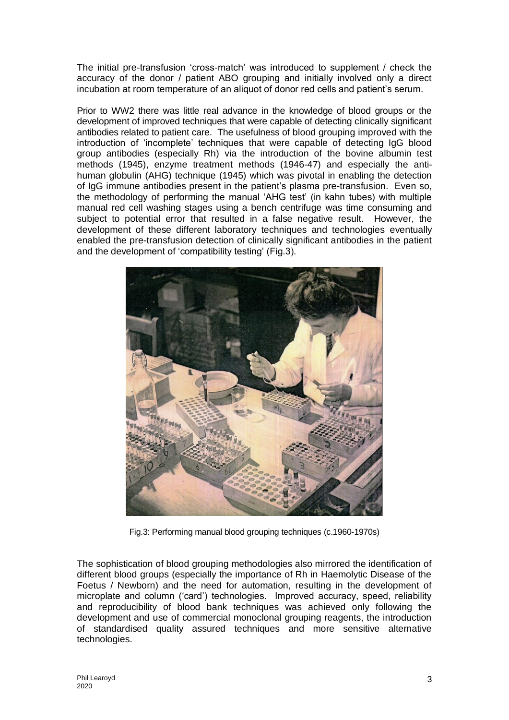The initial pre-transfusion 'cross-match' was introduced to supplement / check the accuracy of the donor / patient ABO grouping and initially involved only a direct incubation at room temperature of an aliquot of donor red cells and patient's serum.

Prior to WW2 there was little real advance in the knowledge of blood groups or the development of improved techniques that were capable of detecting clinically significant antibodies related to patient care. The usefulness of blood grouping improved with the introduction of 'incomplete' techniques that were capable of detecting IgG blood group antibodies (especially Rh) via the introduction of the bovine albumin test methods (1945), enzyme treatment methods (1946-47) and especially the antihuman globulin (AHG) technique (1945) which was pivotal in enabling the detection of IgG immune antibodies present in the patient's plasma pre-transfusion. Even so, the methodology of performing the manual 'AHG test' (in kahn tubes) with multiple manual red cell washing stages using a bench centrifuge was time consuming and subject to potential error that resulted in a false negative result. However, the development of these different laboratory techniques and technologies eventually enabled the pre-transfusion detection of clinically significant antibodies in the patient and the development of 'compatibility testing' (Fig.3).



Fig.3: Performing manual blood grouping techniques (c.1960-1970s)

The sophistication of blood grouping methodologies also mirrored the identification of different blood groups (especially the importance of Rh in Haemolytic Disease of the Foetus / Newborn) and the need for automation, resulting in the development of microplate and column ('card') technologies. Improved accuracy, speed, reliability and reproducibility of blood bank techniques was achieved only following the development and use of commercial monoclonal grouping reagents, the introduction of standardised quality assured techniques and more sensitive alternative technologies.